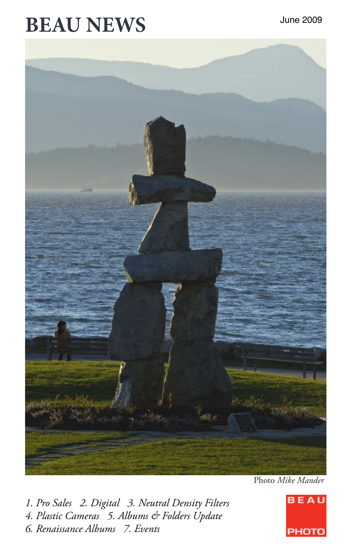## **BEAU NEWS**



Photo *Mike Mander*

*1. Pro Sales 2. Digital 3. Neutral Density Filters 4. Plastic Cameras 5. Albums & Folders Update 6. Renaissance Albums 7. Events*

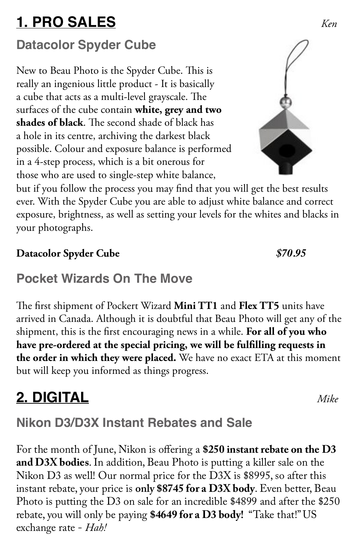## **1. PRO SALES** *Ken*

#### **Datacolor Spyder Cube**

New to Beau Photo is the Spyder Cube. This is really an ingenious little product - It is basically a cube that acts as a multi-level grayscale. The surfaces of the cube contain **white, grey and two shades of black**. The second shade of black has a hole in its centre, archiving the darkest black possible. Colour and exposure balance is performed in a 4-step process, which is a bit onerous for those who are used to single-step white balance,

but if you follow the process you may find that you will get the best results ever. With the Spyder Cube you are able to adjust white balance and correct exposure, brightness, as well as setting your levels for the whites and blacks in your photographs.

#### **Datacolor Spyder Cube** *\$70.95*

#### **Pocket Wizards On The Move**

The first shipment of Pockert Wizard **Mini TT1** and **Flex TT5** units have arrived in Canada. Although it is doubtful that Beau Photo will get any of the shipment, this is the first encouraging news in a while. **For all of you who have pre-ordered at the special pricing, we will be fulfilling requests in the order in which they were placed.** We have no exact ETA at this moment but will keep you informed as things progress.

## **2. DIGITAL** *Mike*

#### **Nikon D3/D3X Instant Rebates and Sale**

For the month of June, Nikon is offering a **\$250 instant rebate on the D3 and D3X bodies**.In addition, Beau Photo is putting a killer sale on the Nikon D3 as well! Our normal price for the D3X is \$8995, so after this instant rebate, your price is **only \$8745 for a D3X body**. Even better, Beau Photo is putting the D3 on sale for an incredible \$4899 and after the \$250 rebate, you will only be paying **\$4649 for a D3 body!** "Take that!" US exchange rate - *Hah!*

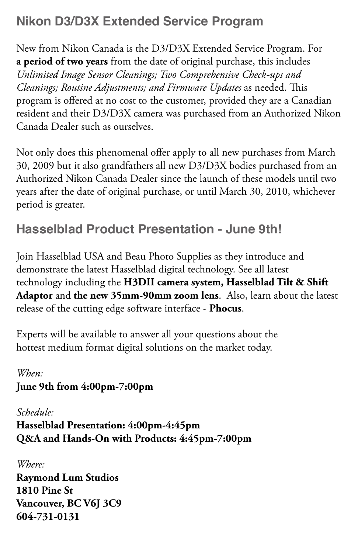#### **Nikon D3/D3X Extended Service Program**

New from Nikon Canada is the D3/D3X Extended Service Program. For **a period of two years** from the date of original purchase, this includes *Unlimited Image Sensor Cleanings; Two Comprehensive Check-ups and Cleanings; Routine Adjustments; and Firmware Updates* as needed. This program is offered at no cost to the customer, provided they are a Canadian resident and their D3/D3X camera was purchased from an Authorized Nikon Canada Dealer such as ourselves.

Not only does this phenomenal offer apply to all new purchases from March 30, 2009 but it also grandfathers all new D3/D3X bodies purchased from an Authorized Nikon Canada Dealer since the launch of these models until two years after the date of original purchase, or until March 30, 2010, whichever period is greater.

#### **Hasselblad Product Presentation - June 9th!**

Join Hasselblad USA and Beau Photo Supplies as they introduce and demonstrate the latest Hasselblad digital technology. See all latest technology including the **H3DII camera system, Hasselblad Tilt & Shift Adaptor** and **the new 35mm-90mm zoom lens**. Also, learn about the latest release of the cutting edge software interface - **Phocus**.

Experts will be available to answer all your questions about the hottest medium format digital solutions on the market today.

#### *When:* **June 9th from 4:00pm-7:00pm**

*Schedule:* **Hasselblad Presentation: 4:00pm-4:45pm Q&A and Hands-On with Products: 4:45pm-7:00pm**

*Where:*

**Raymond Lum Studios 1810 Pine St Vancouver, BC V6J 3C9 604-731-0131**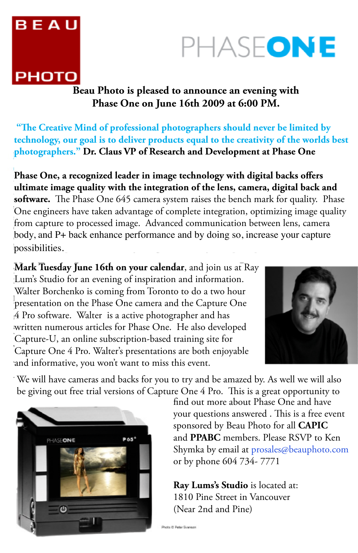# **BEAU PHOTO**

## PHASEONE

**Beau Photo is pleased to announce an evening with Phase One on June 16th 2009 at 6:00 PM.** 

**"The Creative Mind of professional photographers should never be limited by technology, our goal is to deliver products equal to the creativity of the worlds best photographers." Dr. Claus VP of Research and Development at Phase One** 

**Phase One, a recognized leader in image technology with digital backs offers ultimate image quality with the integration of the lens, camera, digital back and software.** The Phase One 645 camera system raises the bench mark for quality. Phase One engineers have taken advantage of complete integration, optimizing image quality from capture to processed image. Advanced communication between lens, camera body, and P+ back enhance performance and by doing so, increase your capture possibilities.

**Mark Tuesday June 16th on your calendar**, and join us at Ray Lum's Studio for an evening of inspiration and information. Walter Borchenko is coming from Toronto to do a two hour presentation on the Phase One camera and the Capture One 4 Pro software. Walter is a active photographer and has written numerous articles for Phase One. He also developed Capture-U, an online subscription-based training site for Capture One 4 Pro. Walter's presentations are both enjoyable and informative, you won't want to miss this event.



We will have cameras and backs for you to try and be amazed by. As well we will also be giving out free trial versions of Capture One 4 Pro. This is a great opportunity to



find out more about Phase One and have your questions answered . This is a free event sponsored by Beau Photo for all **CAPIC**  and **PPABC** members. Please RSVP to Ken Shymka by email at prosales@beauphoto.com or by phone 604 734- 7771

**Ray Lums's Studio** is located at: 1810 Pine Street in Vancouver (Near 2nd and Pine)

Photo D Peter Syanson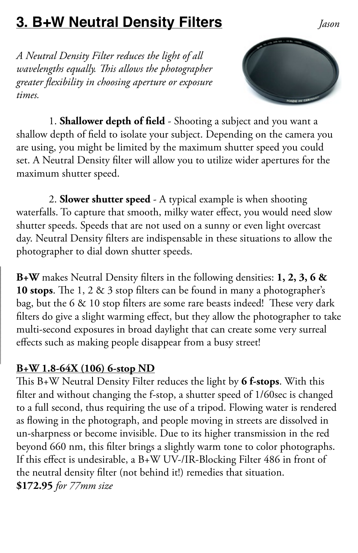### **3. B+W Neutral Density Filters** *Jason*

*A Neutral Density Filter reduces the light of all wavelengths equally. This allows the photographer greater flexibility in choosing aperture or exposure times.*



1. **Shallower depth of field** - Shooting a subject and you want a shallow depth of field to isolate your subject. Depending on the camera you are using, you might be limited by the maximum shutter speed you could set. A Neutral Density filter will allow you to utilize wider apertures for the maximum shutter speed.

2. **Slower shutter speed** - A typical example is when shooting waterfalls. To capture that smooth, milky water effect, you would need slow shutter speeds. Speeds that are not used on a sunny or even light overcast day. Neutral Density filters are indispensable in these situations to allow the photographer to dial down shutter speeds.

**B+W** makes Neutral Density filters in the following densities: **1, 2, 3, 6 & 10 stops**. The 1, 2 & 3 stop filters can be found in many a photographer's bag, but the 6 & 10 stop filters are some rare beasts indeed! These very dark filters do give a slight warming effect, but they allow the photographer to take multi-second exposures in broad daylight that can create some very surreal effects such as making people disappear from a busy street!

#### **B+W 1.8-64X (106) 6-stop ND**

This B+W Neutral Density Filter reduces the light by **6 f-stops**. With this filter and without changing the f-stop, a shutter speed of 1/60sec is changed to a full second, thus requiring the use of a tripod. Flowing water is rendered as flowing in the photograph, and people moving in streets are dissolved in un-sharpness or become invisible. Due to its higher transmission in the red beyond 660 nm, this filter brings a slightly warm tone to color photographs. If this effect is undesirable, a B+W UV-/IR-Blocking Filter 486 in front of the neutral density filter (not behind it!) remedies that situation. **\$172.95** *for 77mm size*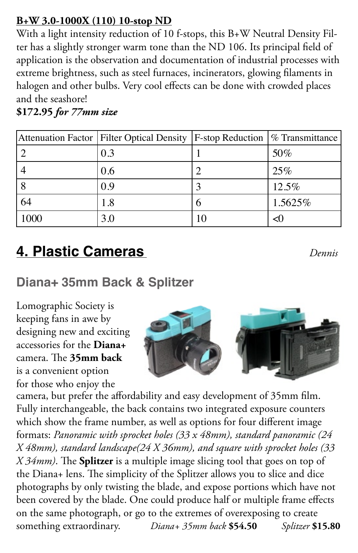#### **B+W 3.0-1000X (110) 10-stop ND**

With a light intensity reduction of 10 f-stops, this B+W Neutral Density Filter has a slightly stronger warm tone than the ND 106. Its principal field of application is the observation and documentation of industrial processes with extreme brightness, such as steel furnaces, incinerators, glowing filaments in halogen and other bulbs. Very cool effects can be done with crowded places and the seashore!

**\$172.95** *for 77mm size*

|      | Attenuation Factor   Filter Optical Density   F-stop Reduction $\frac{8}{10}$ Transmittance |   |         |
|------|---------------------------------------------------------------------------------------------|---|---------|
|      | 0.3                                                                                         |   | 50%     |
|      | 0.6                                                                                         |   | 25%     |
|      | 0.9                                                                                         |   | 12.5%   |
| 64   | 1.8                                                                                         | Ω | 1.5625% |
| 1000 | 3.0                                                                                         |   | <1      |

## **4. Plastic Cameras** *Dennis*

#### **Diana+ 35mm Back & Splitzer**

Lomographic Society is keeping fans in awe by designing new and exciting accessories for the **Diana+** camera. The **35mm back**  is a convenient option for those who enjoy the



camera, but prefer the affordability and easy development of 35mm film. Fully interchangeable, the back contains two integrated exposure counters which show the frame number, as well as options for four different image formats: *Panoramic with sprocket holes (33 x 48mm), standard panoramic (24 X 48mm), standard landscape(24 X 36mm), and square with sprocket holes (33 X 34mm)*. The **Splitzer** is a multiple image slicing tool that goes on top of the Diana+ lens. The simplicity of the Splitzer allows you to slice and dice photographs by only twisting the blade, and expose portions which have not been covered by the blade. One could produce half or multiple frame effects on the same photograph, or go to the extremes of overexposing to create something extraordinary. *Diana+ 35mm back* **\$54.50** *Splitzer* **\$15.80**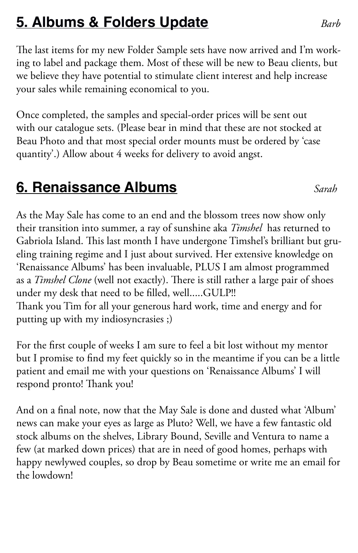### **5. Albums & Folders Update** *Barb*

The last items for my new Folder Sample sets have now arrived and I'm working to label and package them. Most of these will be new to Beau clients, but we believe they have potential to stimulate client interest and help increase your sales while remaining economical to you.

Once completed, the samples and special-order prices will be sent out with our catalogue sets. (Please bear in mind that these are not stocked at Beau Photo and that most special order mounts must be ordered by 'case quantity'.) Allow about 4 weeks for delivery to avoid angst.

#### **6. Renaissance Albums** *Sarah*

As the May Sale has come to an end and the blossom trees now show only their transition into summer, a ray of sunshine aka *Timshel* has returned to Gabriola Island. This last month I have undergone Timshel's brilliant but grueling training regime and I just about survived. Her extensive knowledge on 'Renaissance Albums' has been invaluable, PLUS I am almost programmed as a *Timshel Clone* (well not exactly). There is still rather a large pair of shoes under my desk that need to be filled, well.....GULP!!

Thank you Tim for all your generous hard work, time and energy and for putting up with my indiosyncrasies ;)

For the first couple of weeks I am sure to feel a bit lost without my mentor but I promise to find my feet quickly so in the meantime if you can be a little patient and email me with your questions on 'Renaissance Albums' I will respond pronto! Thank you!

And on a final note, now that the May Sale is done and dusted what 'Album' news can make your eyes as large as Pluto? Well, we have a few fantastic old stock albums on the shelves, Library Bound, Seville and Ventura to name a few (at marked down prices) that are in need of good homes, perhaps with happy newlywed couples, so drop by Beau sometime or write me an email for the lowdown!